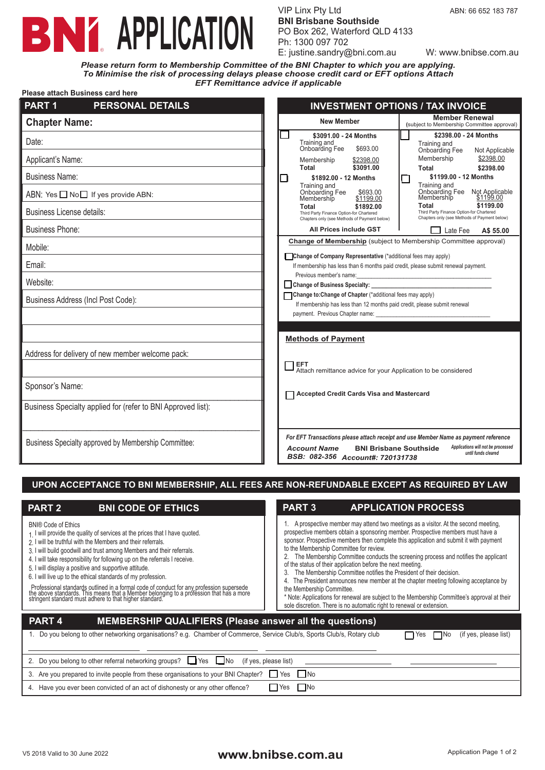# **BNY APPLICATION**

VIP Linx Pty Ltd ABN: 66 652 183 787 **BNI Brisbane Southside** PO Box 262, Waterford QLD 4133 Ph: 1300 097 702 E: justine.sandry@bni.com.au W: www.bnibse.com.au

**Please attach Business card here** *Please return form to Membership Committee of the BNI Chapter to which you are applying. To Minimise the risk of processing delays please choose credit card or EFT options Attach EFT Remittance advice if applicable*

| Piease allach Business card nere                             |                                                                                                                                                                                                                                              |
|--------------------------------------------------------------|----------------------------------------------------------------------------------------------------------------------------------------------------------------------------------------------------------------------------------------------|
| PART <sub>1</sub><br><b>PERSONAL DETAILS</b>                 | <b>INVESTMENT OPTIONS / TAX INVOICE</b>                                                                                                                                                                                                      |
| <b>Chapter Name:</b>                                         | <b>Member Renewal</b><br><b>New Member</b><br>(subject to Membership Committee approval)                                                                                                                                                     |
| Date:                                                        | \$2398.00 - 24 Months<br>\$3091.00 - 24 Months<br>Training and<br>Training and<br>Onboarding Fee<br>\$693.00<br>Onboarding Fee<br>Not Applicable                                                                                             |
| Applicant's Name:                                            | \$2398.00<br>Membership<br>Membership<br>\$2398.00<br>\$3091.00<br>Total<br><b>Total</b><br>\$2398.00                                                                                                                                        |
| <b>Business Name:</b>                                        | \$1199.00 - 12 Months<br>\$1892.00 - 12 Months<br>$\mathbf{L}$                                                                                                                                                                               |
| ABN: Yes $\Box$ No $\Box$ If yes provide ABN:                | Training and<br>Training and<br>Onboarding Fee<br>Not Applicable<br>Onboarding Fee<br>\$693.00<br>Membership<br>\$1199.00<br>Membership<br>\$1199.00                                                                                         |
| Business License details:                                    | \$1199.00<br>Total<br>\$1892.00<br>Total<br>Third Party Finance Option-for Chartered<br>Third Party Finance Option-for Chartered<br>Chapters only (see Methods of Payment below)<br>Chapters only (see Methods of Payment below)             |
| <b>Business Phone:</b>                                       | All Prices include GST<br>Late Fee<br>A\$ 55.00                                                                                                                                                                                              |
| Mobile:                                                      | Change of Membership (subject to Membership Committee approval)                                                                                                                                                                              |
| Email:                                                       | Change of Company Representative (*additional fees may apply)<br>If membership has less than 6 months paid credit, please submit renewal payment.                                                                                            |
| Website:                                                     | Previous member's name:<br>the control of the control of the control of the control of<br>Change of Business Specialty:                                                                                                                      |
| Business Address (Incl Post Code):                           | Change to: Change of Chapter (*additional fees may apply)<br>If membership has less than 12 months paid credit, please submit renewal                                                                                                        |
|                                                              | payment. Previous Chapter name:                                                                                                                                                                                                              |
|                                                              | <b>Methods of Payment</b>                                                                                                                                                                                                                    |
| Address for delivery of new member welcome pack:             |                                                                                                                                                                                                                                              |
|                                                              | <b>EFT</b><br>Attach remittance advice for your Application to be considered                                                                                                                                                                 |
| Sponsor's Name:                                              |                                                                                                                                                                                                                                              |
| Business Specialty applied for (refer to BNI Approved list): | <b>Accepted Credit Cards Visa and Mastercard</b>                                                                                                                                                                                             |
|                                                              |                                                                                                                                                                                                                                              |
| Business Specialty approved by Membership Committee:         | For EFT Transactions please attach receipt and use Member Name as payment reference<br>Applications will not be processed<br><b>Account Name</b><br><b>BNI Brisbane Southside</b><br>until funds cleared<br>BSB: 082-356 Account#: 720131738 |

### **UPON ACCEPTANCE TO BNI MEMBERSHIP, ALL FEES ARE NON-REFUNDABLE EXCEPT AS REQUIRED BY LAW**

| <b>PART 2</b><br><b>BNI CODE OF ETHICS</b>                                                                                                                                                                                                                                                                                                                                                                                                                                                                                                                                                                                                                                                     | <b>PART 3</b><br><b>APPLICATION PROCESS</b>                                                                                                                                                                                                                                                                                                                                                                                                                                                                                                                                                                                                                                                                                                                                                                                                 |  |  |  |
|------------------------------------------------------------------------------------------------------------------------------------------------------------------------------------------------------------------------------------------------------------------------------------------------------------------------------------------------------------------------------------------------------------------------------------------------------------------------------------------------------------------------------------------------------------------------------------------------------------------------------------------------------------------------------------------------|---------------------------------------------------------------------------------------------------------------------------------------------------------------------------------------------------------------------------------------------------------------------------------------------------------------------------------------------------------------------------------------------------------------------------------------------------------------------------------------------------------------------------------------------------------------------------------------------------------------------------------------------------------------------------------------------------------------------------------------------------------------------------------------------------------------------------------------------|--|--|--|
| <b>BNI® Code of Ethics</b><br>1 I will provide the quality of services at the prices that I have quoted.<br>2 I will be truthful with the Members and their referrals.<br>3. I will build goodwill and trust among Members and their referrals.<br>4. I will take responsibility for following up on the referrals I receive.<br>5. I will display a positive and supportive attitude.<br>6. I will live up to the ethical standards of my profession.<br>Professional standards outlined in a formal code of conduct for any profession supersede<br>the above standards. This means that a Member belonging to a profession that has a more<br>stringent standard must adhere to that higher | 1. A prospective member may attend two meetings as a visitor. At the second meeting,<br>prospective members obtain a sponsoring member. Prospective members must have a<br>sponsor. Prospective members then complete this application and submit it with payment<br>to the Membership Committee for review.<br>The Membership Committee conducts the screening process and notifies the applicant<br>of the status of their application before the next meeting.<br>The Membership Committee notifies the President of their decision.<br>3.<br>4. The President announces new member at the chapter meeting following acceptance by<br>the Membership Committee.<br>* Note: Applications for renewal are subject to the Membership Committee's approval at their<br>sole discretion. There is no automatic right to renewal or extension. |  |  |  |
| PART <sub>4</sub><br><b>MEMBERSHIP QUALIFIERS (Please answer all the questions)</b>                                                                                                                                                                                                                                                                                                                                                                                                                                                                                                                                                                                                            |                                                                                                                                                                                                                                                                                                                                                                                                                                                                                                                                                                                                                                                                                                                                                                                                                                             |  |  |  |
| 1. Do you belong to other networking organisations? e.g. Chamber of Commerce, Service Club/s, Sports Club/s, Rotary club<br>(if yes, please list)<br>Yes                                                                                                                                                                                                                                                                                                                                                                                                                                                                                                                                       |                                                                                                                                                                                                                                                                                                                                                                                                                                                                                                                                                                                                                                                                                                                                                                                                                                             |  |  |  |
| 2. Do you belong to other referral networking groups?<br>(if yes, please list)<br>$\Box$ Yes<br>$\Box$ No                                                                                                                                                                                                                                                                                                                                                                                                                                                                                                                                                                                      |                                                                                                                                                                                                                                                                                                                                                                                                                                                                                                                                                                                                                                                                                                                                                                                                                                             |  |  |  |
| 3. Are you prepared to invite people from these organisations to your BNI Chapter?                                                                                                                                                                                                                                                                                                                                                                                                                                                                                                                                                                                                             | l INo<br>Yes                                                                                                                                                                                                                                                                                                                                                                                                                                                                                                                                                                                                                                                                                                                                                                                                                                |  |  |  |
| 4. Have you ever been convicted of an act of dishonesty or any other offence?                                                                                                                                                                                                                                                                                                                                                                                                                                                                                                                                                                                                                  | l INo<br>Yes                                                                                                                                                                                                                                                                                                                                                                                                                                                                                                                                                                                                                                                                                                                                                                                                                                |  |  |  |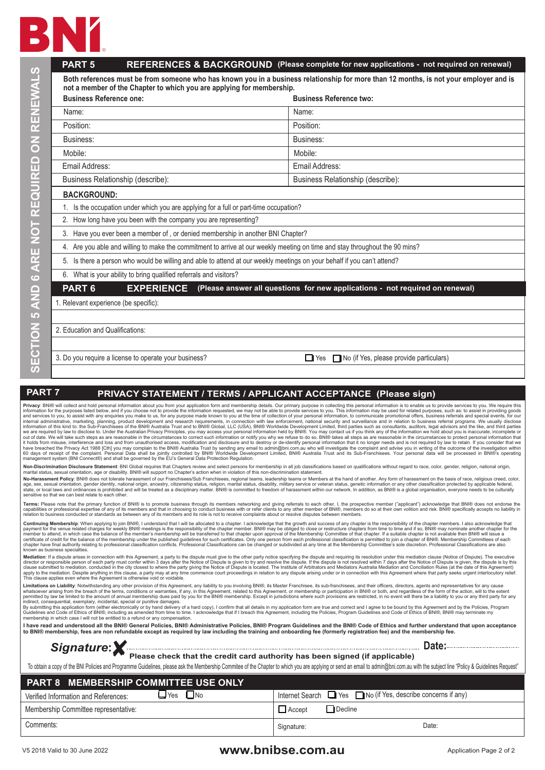

|                                                                                                                                                                                                                                                                                                                                                                                                                                                                                                                                                                                                                                                                                                                                                                                                                                                                                                                                                                                                                                                                                                                                                                                                                                                                                                                                                                                                                                                                                                                                                                                                                                                                                                                                                                                                                                                                                                                                                                                                                                                                                                                                                                                                                                                                                                                                                                                                                                                                                                                                                                                                                                                                                                                                                                                                                                               | <b>PART 5</b>                                                                                                                                                                                                                                                                                                                                                                                                                                                                                                                                                                                                                                                                                                                                                                                                                                                                                                                                                                                                                                                                                                                                                                                                                                                                                                                          | REFERENCES & BACKGROUND (Please complete for new applications - not required on renewal)                                               |  |
|-----------------------------------------------------------------------------------------------------------------------------------------------------------------------------------------------------------------------------------------------------------------------------------------------------------------------------------------------------------------------------------------------------------------------------------------------------------------------------------------------------------------------------------------------------------------------------------------------------------------------------------------------------------------------------------------------------------------------------------------------------------------------------------------------------------------------------------------------------------------------------------------------------------------------------------------------------------------------------------------------------------------------------------------------------------------------------------------------------------------------------------------------------------------------------------------------------------------------------------------------------------------------------------------------------------------------------------------------------------------------------------------------------------------------------------------------------------------------------------------------------------------------------------------------------------------------------------------------------------------------------------------------------------------------------------------------------------------------------------------------------------------------------------------------------------------------------------------------------------------------------------------------------------------------------------------------------------------------------------------------------------------------------------------------------------------------------------------------------------------------------------------------------------------------------------------------------------------------------------------------------------------------------------------------------------------------------------------------------------------------------------------------------------------------------------------------------------------------------------------------------------------------------------------------------------------------------------------------------------------------------------------------------------------------------------------------------------------------------------------------------------------------------------------------------------------------------------------------|----------------------------------------------------------------------------------------------------------------------------------------------------------------------------------------------------------------------------------------------------------------------------------------------------------------------------------------------------------------------------------------------------------------------------------------------------------------------------------------------------------------------------------------------------------------------------------------------------------------------------------------------------------------------------------------------------------------------------------------------------------------------------------------------------------------------------------------------------------------------------------------------------------------------------------------------------------------------------------------------------------------------------------------------------------------------------------------------------------------------------------------------------------------------------------------------------------------------------------------------------------------------------------------------------------------------------------------|----------------------------------------------------------------------------------------------------------------------------------------|--|
|                                                                                                                                                                                                                                                                                                                                                                                                                                                                                                                                                                                                                                                                                                                                                                                                                                                                                                                                                                                                                                                                                                                                                                                                                                                                                                                                                                                                                                                                                                                                                                                                                                                                                                                                                                                                                                                                                                                                                                                                                                                                                                                                                                                                                                                                                                                                                                                                                                                                                                                                                                                                                                                                                                                                                                                                                                               |                                                                                                                                                                                                                                                                                                                                                                                                                                                                                                                                                                                                                                                                                                                                                                                                                                                                                                                                                                                                                                                                                                                                                                                                                                                                                                                                        | Both references must be from someone who has known you in a business relationship for more than 12 months, is not your employer and is |  |
| ON RENEWAL                                                                                                                                                                                                                                                                                                                                                                                                                                                                                                                                                                                                                                                                                                                                                                                                                                                                                                                                                                                                                                                                                                                                                                                                                                                                                                                                                                                                                                                                                                                                                                                                                                                                                                                                                                                                                                                                                                                                                                                                                                                                                                                                                                                                                                                                                                                                                                                                                                                                                                                                                                                                                                                                                                                                                                                                                                    | not a member of the Chapter to which you are applying for membership.<br><b>Business Reference one:</b>                                                                                                                                                                                                                                                                                                                                                                                                                                                                                                                                                                                                                                                                                                                                                                                                                                                                                                                                                                                                                                                                                                                                                                                                                                | <b>Business Reference two:</b>                                                                                                         |  |
|                                                                                                                                                                                                                                                                                                                                                                                                                                                                                                                                                                                                                                                                                                                                                                                                                                                                                                                                                                                                                                                                                                                                                                                                                                                                                                                                                                                                                                                                                                                                                                                                                                                                                                                                                                                                                                                                                                                                                                                                                                                                                                                                                                                                                                                                                                                                                                                                                                                                                                                                                                                                                                                                                                                                                                                                                                               | Name:                                                                                                                                                                                                                                                                                                                                                                                                                                                                                                                                                                                                                                                                                                                                                                                                                                                                                                                                                                                                                                                                                                                                                                                                                                                                                                                                  | Name:                                                                                                                                  |  |
|                                                                                                                                                                                                                                                                                                                                                                                                                                                                                                                                                                                                                                                                                                                                                                                                                                                                                                                                                                                                                                                                                                                                                                                                                                                                                                                                                                                                                                                                                                                                                                                                                                                                                                                                                                                                                                                                                                                                                                                                                                                                                                                                                                                                                                                                                                                                                                                                                                                                                                                                                                                                                                                                                                                                                                                                                                               | Position:                                                                                                                                                                                                                                                                                                                                                                                                                                                                                                                                                                                                                                                                                                                                                                                                                                                                                                                                                                                                                                                                                                                                                                                                                                                                                                                              | Position:                                                                                                                              |  |
|                                                                                                                                                                                                                                                                                                                                                                                                                                                                                                                                                                                                                                                                                                                                                                                                                                                                                                                                                                                                                                                                                                                                                                                                                                                                                                                                                                                                                                                                                                                                                                                                                                                                                                                                                                                                                                                                                                                                                                                                                                                                                                                                                                                                                                                                                                                                                                                                                                                                                                                                                                                                                                                                                                                                                                                                                                               | Business:                                                                                                                                                                                                                                                                                                                                                                                                                                                                                                                                                                                                                                                                                                                                                                                                                                                                                                                                                                                                                                                                                                                                                                                                                                                                                                                              | Business:                                                                                                                              |  |
|                                                                                                                                                                                                                                                                                                                                                                                                                                                                                                                                                                                                                                                                                                                                                                                                                                                                                                                                                                                                                                                                                                                                                                                                                                                                                                                                                                                                                                                                                                                                                                                                                                                                                                                                                                                                                                                                                                                                                                                                                                                                                                                                                                                                                                                                                                                                                                                                                                                                                                                                                                                                                                                                                                                                                                                                                                               | Mobile:                                                                                                                                                                                                                                                                                                                                                                                                                                                                                                                                                                                                                                                                                                                                                                                                                                                                                                                                                                                                                                                                                                                                                                                                                                                                                                                                | Mobile:                                                                                                                                |  |
|                                                                                                                                                                                                                                                                                                                                                                                                                                                                                                                                                                                                                                                                                                                                                                                                                                                                                                                                                                                                                                                                                                                                                                                                                                                                                                                                                                                                                                                                                                                                                                                                                                                                                                                                                                                                                                                                                                                                                                                                                                                                                                                                                                                                                                                                                                                                                                                                                                                                                                                                                                                                                                                                                                                                                                                                                                               | Email Address:                                                                                                                                                                                                                                                                                                                                                                                                                                                                                                                                                                                                                                                                                                                                                                                                                                                                                                                                                                                                                                                                                                                                                                                                                                                                                                                         | Email Address:                                                                                                                         |  |
|                                                                                                                                                                                                                                                                                                                                                                                                                                                                                                                                                                                                                                                                                                                                                                                                                                                                                                                                                                                                                                                                                                                                                                                                                                                                                                                                                                                                                                                                                                                                                                                                                                                                                                                                                                                                                                                                                                                                                                                                                                                                                                                                                                                                                                                                                                                                                                                                                                                                                                                                                                                                                                                                                                                                                                                                                                               | Business Relationship (describe):                                                                                                                                                                                                                                                                                                                                                                                                                                                                                                                                                                                                                                                                                                                                                                                                                                                                                                                                                                                                                                                                                                                                                                                                                                                                                                      | Business Relationship (describe):                                                                                                      |  |
|                                                                                                                                                                                                                                                                                                                                                                                                                                                                                                                                                                                                                                                                                                                                                                                                                                                                                                                                                                                                                                                                                                                                                                                                                                                                                                                                                                                                                                                                                                                                                                                                                                                                                                                                                                                                                                                                                                                                                                                                                                                                                                                                                                                                                                                                                                                                                                                                                                                                                                                                                                                                                                                                                                                                                                                                                                               |                                                                                                                                                                                                                                                                                                                                                                                                                                                                                                                                                                                                                                                                                                                                                                                                                                                                                                                                                                                                                                                                                                                                                                                                                                                                                                                                        |                                                                                                                                        |  |
|                                                                                                                                                                                                                                                                                                                                                                                                                                                                                                                                                                                                                                                                                                                                                                                                                                                                                                                                                                                                                                                                                                                                                                                                                                                                                                                                                                                                                                                                                                                                                                                                                                                                                                                                                                                                                                                                                                                                                                                                                                                                                                                                                                                                                                                                                                                                                                                                                                                                                                                                                                                                                                                                                                                                                                                                                                               | <b>BACKGROUND:</b>                                                                                                                                                                                                                                                                                                                                                                                                                                                                                                                                                                                                                                                                                                                                                                                                                                                                                                                                                                                                                                                                                                                                                                                                                                                                                                                     |                                                                                                                                        |  |
|                                                                                                                                                                                                                                                                                                                                                                                                                                                                                                                                                                                                                                                                                                                                                                                                                                                                                                                                                                                                                                                                                                                                                                                                                                                                                                                                                                                                                                                                                                                                                                                                                                                                                                                                                                                                                                                                                                                                                                                                                                                                                                                                                                                                                                                                                                                                                                                                                                                                                                                                                                                                                                                                                                                                                                                                                                               | 1. Is the occupation under which you are applying for a full or part-time occupation?<br>2. How long have you been with the company you are representing?                                                                                                                                                                                                                                                                                                                                                                                                                                                                                                                                                                                                                                                                                                                                                                                                                                                                                                                                                                                                                                                                                                                                                                              |                                                                                                                                        |  |
|                                                                                                                                                                                                                                                                                                                                                                                                                                                                                                                                                                                                                                                                                                                                                                                                                                                                                                                                                                                                                                                                                                                                                                                                                                                                                                                                                                                                                                                                                                                                                                                                                                                                                                                                                                                                                                                                                                                                                                                                                                                                                                                                                                                                                                                                                                                                                                                                                                                                                                                                                                                                                                                                                                                                                                                                                                               | 3. Have you ever been a member of, or denied membership in another BNI Chapter?                                                                                                                                                                                                                                                                                                                                                                                                                                                                                                                                                                                                                                                                                                                                                                                                                                                                                                                                                                                                                                                                                                                                                                                                                                                        |                                                                                                                                        |  |
|                                                                                                                                                                                                                                                                                                                                                                                                                                                                                                                                                                                                                                                                                                                                                                                                                                                                                                                                                                                                                                                                                                                                                                                                                                                                                                                                                                                                                                                                                                                                                                                                                                                                                                                                                                                                                                                                                                                                                                                                                                                                                                                                                                                                                                                                                                                                                                                                                                                                                                                                                                                                                                                                                                                                                                                                                                               | 4. Are you able and willing to make the commitment to arrive at our weekly meeting on time and stay throughout the 90 mins?                                                                                                                                                                                                                                                                                                                                                                                                                                                                                                                                                                                                                                                                                                                                                                                                                                                                                                                                                                                                                                                                                                                                                                                                            |                                                                                                                                        |  |
|                                                                                                                                                                                                                                                                                                                                                                                                                                                                                                                                                                                                                                                                                                                                                                                                                                                                                                                                                                                                                                                                                                                                                                                                                                                                                                                                                                                                                                                                                                                                                                                                                                                                                                                                                                                                                                                                                                                                                                                                                                                                                                                                                                                                                                                                                                                                                                                                                                                                                                                                                                                                                                                                                                                                                                                                                                               |                                                                                                                                                                                                                                                                                                                                                                                                                                                                                                                                                                                                                                                                                                                                                                                                                                                                                                                                                                                                                                                                                                                                                                                                                                                                                                                                        |                                                                                                                                        |  |
|                                                                                                                                                                                                                                                                                                                                                                                                                                                                                                                                                                                                                                                                                                                                                                                                                                                                                                                                                                                                                                                                                                                                                                                                                                                                                                                                                                                                                                                                                                                                                                                                                                                                                                                                                                                                                                                                                                                                                                                                                                                                                                                                                                                                                                                                                                                                                                                                                                                                                                                                                                                                                                                                                                                                                                                                                                               | 5. Is there a person who would be willing and able to attend at our weekly meetings on your behalf if you can't attend?                                                                                                                                                                                                                                                                                                                                                                                                                                                                                                                                                                                                                                                                                                                                                                                                                                                                                                                                                                                                                                                                                                                                                                                                                |                                                                                                                                        |  |
|                                                                                                                                                                                                                                                                                                                                                                                                                                                                                                                                                                                                                                                                                                                                                                                                                                                                                                                                                                                                                                                                                                                                                                                                                                                                                                                                                                                                                                                                                                                                                                                                                                                                                                                                                                                                                                                                                                                                                                                                                                                                                                                                                                                                                                                                                                                                                                                                                                                                                                                                                                                                                                                                                                                                                                                                                                               | 6. What is your ability to bring qualified referrals and visitors?                                                                                                                                                                                                                                                                                                                                                                                                                                                                                                                                                                                                                                                                                                                                                                                                                                                                                                                                                                                                                                                                                                                                                                                                                                                                     | (Please answer all questions for new applications - not required on renewal)                                                           |  |
|                                                                                                                                                                                                                                                                                                                                                                                                                                                                                                                                                                                                                                                                                                                                                                                                                                                                                                                                                                                                                                                                                                                                                                                                                                                                                                                                                                                                                                                                                                                                                                                                                                                                                                                                                                                                                                                                                                                                                                                                                                                                                                                                                                                                                                                                                                                                                                                                                                                                                                                                                                                                                                                                                                                                                                                                                                               | PART <sub>6</sub><br><b>EXPERIENCE</b>                                                                                                                                                                                                                                                                                                                                                                                                                                                                                                                                                                                                                                                                                                                                                                                                                                                                                                                                                                                                                                                                                                                                                                                                                                                                                                 |                                                                                                                                        |  |
|                                                                                                                                                                                                                                                                                                                                                                                                                                                                                                                                                                                                                                                                                                                                                                                                                                                                                                                                                                                                                                                                                                                                                                                                                                                                                                                                                                                                                                                                                                                                                                                                                                                                                                                                                                                                                                                                                                                                                                                                                                                                                                                                                                                                                                                                                                                                                                                                                                                                                                                                                                                                                                                                                                                                                                                                                                               | 1. Relevant experience (be specific):                                                                                                                                                                                                                                                                                                                                                                                                                                                                                                                                                                                                                                                                                                                                                                                                                                                                                                                                                                                                                                                                                                                                                                                                                                                                                                  |                                                                                                                                        |  |
|                                                                                                                                                                                                                                                                                                                                                                                                                                                                                                                                                                                                                                                                                                                                                                                                                                                                                                                                                                                                                                                                                                                                                                                                                                                                                                                                                                                                                                                                                                                                                                                                                                                                                                                                                                                                                                                                                                                                                                                                                                                                                                                                                                                                                                                                                                                                                                                                                                                                                                                                                                                                                                                                                                                                                                                                                                               |                                                                                                                                                                                                                                                                                                                                                                                                                                                                                                                                                                                                                                                                                                                                                                                                                                                                                                                                                                                                                                                                                                                                                                                                                                                                                                                                        |                                                                                                                                        |  |
|                                                                                                                                                                                                                                                                                                                                                                                                                                                                                                                                                                                                                                                                                                                                                                                                                                                                                                                                                                                                                                                                                                                                                                                                                                                                                                                                                                                                                                                                                                                                                                                                                                                                                                                                                                                                                                                                                                                                                                                                                                                                                                                                                                                                                                                                                                                                                                                                                                                                                                                                                                                                                                                                                                                                                                                                                                               | 2. Education and Qualifications:                                                                                                                                                                                                                                                                                                                                                                                                                                                                                                                                                                                                                                                                                                                                                                                                                                                                                                                                                                                                                                                                                                                                                                                                                                                                                                       |                                                                                                                                        |  |
| ECTION 5 AND 6 ARE NOT REQUIRED                                                                                                                                                                                                                                                                                                                                                                                                                                                                                                                                                                                                                                                                                                                                                                                                                                                                                                                                                                                                                                                                                                                                                                                                                                                                                                                                                                                                                                                                                                                                                                                                                                                                                                                                                                                                                                                                                                                                                                                                                                                                                                                                                                                                                                                                                                                                                                                                                                                                                                                                                                                                                                                                                                                                                                                                               |                                                                                                                                                                                                                                                                                                                                                                                                                                                                                                                                                                                                                                                                                                                                                                                                                                                                                                                                                                                                                                                                                                                                                                                                                                                                                                                                        |                                                                                                                                        |  |
|                                                                                                                                                                                                                                                                                                                                                                                                                                                                                                                                                                                                                                                                                                                                                                                                                                                                                                                                                                                                                                                                                                                                                                                                                                                                                                                                                                                                                                                                                                                                                                                                                                                                                                                                                                                                                                                                                                                                                                                                                                                                                                                                                                                                                                                                                                                                                                                                                                                                                                                                                                                                                                                                                                                                                                                                                                               | 3. Do you require a license to operate your business?                                                                                                                                                                                                                                                                                                                                                                                                                                                                                                                                                                                                                                                                                                                                                                                                                                                                                                                                                                                                                                                                                                                                                                                                                                                                                  | No (if Yes, please provide particulars)<br>$\Box$ Yes                                                                                  |  |
|                                                                                                                                                                                                                                                                                                                                                                                                                                                                                                                                                                                                                                                                                                                                                                                                                                                                                                                                                                                                                                                                                                                                                                                                                                                                                                                                                                                                                                                                                                                                                                                                                                                                                                                                                                                                                                                                                                                                                                                                                                                                                                                                                                                                                                                                                                                                                                                                                                                                                                                                                                                                                                                                                                                                                                                                                                               |                                                                                                                                                                                                                                                                                                                                                                                                                                                                                                                                                                                                                                                                                                                                                                                                                                                                                                                                                                                                                                                                                                                                                                                                                                                                                                                                        |                                                                                                                                        |  |
| <b>PART7</b>                                                                                                                                                                                                                                                                                                                                                                                                                                                                                                                                                                                                                                                                                                                                                                                                                                                                                                                                                                                                                                                                                                                                                                                                                                                                                                                                                                                                                                                                                                                                                                                                                                                                                                                                                                                                                                                                                                                                                                                                                                                                                                                                                                                                                                                                                                                                                                                                                                                                                                                                                                                                                                                                                                                                                                                                                                  | PRIVACY STATEMENT / TERMS / APPLICANT ACCEPTANCE (Please sign)                                                                                                                                                                                                                                                                                                                                                                                                                                                                                                                                                                                                                                                                                                                                                                                                                                                                                                                                                                                                                                                                                                                                                                                                                                                                         |                                                                                                                                        |  |
| Privacy: BNI® will collect and hold personal information about you from your application form and membership details. Our primary purpose in collecting this personal information is to enable us to provide services to you.<br>information for the purposes listed below, and if you choose not to provide the information requested, we may not be able to provide services to you. This information may be used for related purposes, such as: to assist in<br>and services to you, to assist with any enquiries you make to us, for any purpose made known to you at the time of collection of your personal information, to communicate promotional offers, business referrals and special<br>internal administrative, marketing, planning, product development and research requirements, in connection with law enforcement, national security and surveillance and in relation to business referral programs. We usually<br>information of this kind to: the Sub-Franchisees of the BNI® Australia Trust and to BNI® Global, LLC (USA), BNI® Worldwide Development Limited, third parties such as consultants, auditors, legal advisors and the like, and<br>we are required by law to disclose to. Under the Australian Privacy Principles, you may access your personal information held by BNI®. You may contact us if you think any of the information we hold about you is inaccurate,<br>out of date. We will take such steps as are reasonable in the circumstances to correct such information or notify you why we refuse to do so. BN® takes all steps as are reasonable in the circumstances to protect personal i<br>it holds from misuse, interference and loss and from unauthorised access, modification and disclosure and to destroy or de-identify personal information that it no longer needs and is not required by law to retain. If you<br>have breached the Privacy Act 1988 [Cth] you may complain to the BNI® Australia Trust by sending any email to admin@bni.com.au who will investigate the complaint and advise you in writing of the outcome of the investigatio<br>60 days of receipt of the complaint. Personal Data shall be jointly controlled by BNI® Worldwide Development Limited, BNI® Australia Trust and its Sub-Franchisees. Your personal data will be processed in BNI®'s operating<br>management system (BNI Connect®) and shall be governed by the EU's General Data Protection Regulation.<br>Non-Discrimination Disclosure Statement: BNI Global requires that Chapters review and select persons for membership in all job classifications based on qualifications without regard to race, color, gender, religion, nation<br>marital status, sexual orientation, age or disability. BNI® will support no Chapter's action when in violation of this non-discrimination statement. |                                                                                                                                                                                                                                                                                                                                                                                                                                                                                                                                                                                                                                                                                                                                                                                                                                                                                                                                                                                                                                                                                                                                                                                                                                                                                                                                        |                                                                                                                                        |  |
| No-Harassment Policy: BNI® does not tolerate harassment of our Franchisees/Sub Franchisees, regional teams, leadership teams or Members at the hand of another. Any form of harassment on the basis of race, religious creed,<br>age, sex, sexual orientation, gender identity, national origin, ancestry, citizenship status, religion, marital status, disability, military service or veteran status, genetic information or any other classification protec<br>state, or local laws and ordinances is prohibited and will be treated as a disciplinary matter. BNI® is committed to freedom of harassment within our network. In addition, as BNI® is a global organisation, everyone needs t<br>sensitive so that we can best relate to each other.                                                                                                                                                                                                                                                                                                                                                                                                                                                                                                                                                                                                                                                                                                                                                                                                                                                                                                                                                                                                                                                                                                                                                                                                                                                                                                                                                                                                                                                                                                                                                                                                                                                                                                                                                                                                                                                                                                                                                                                                                                                                                      |                                                                                                                                                                                                                                                                                                                                                                                                                                                                                                                                                                                                                                                                                                                                                                                                                                                                                                                                                                                                                                                                                                                                                                                                                                                                                                                                        |                                                                                                                                        |  |
|                                                                                                                                                                                                                                                                                                                                                                                                                                                                                                                                                                                                                                                                                                                                                                                                                                                                                                                                                                                                                                                                                                                                                                                                                                                                                                                                                                                                                                                                                                                                                                                                                                                                                                                                                                                                                                                                                                                                                                                                                                                                                                                                                                                                                                                                                                                                                                                                                                                                                                                                                                                                                                                                                                                                                                                                                                               | Terms: Please note that the primary function of BNI® is to promote business through its members networking and giving referrals to each other. I, the prospective member ("applicant") acknowledge that BNI® does not endorse<br>capabilities or professional expertise of any of its members and that in choosing to conduct business with or refer clients to any other member of BNI®, members do so at their own volition and risk. BNI® specifically accep<br>relation to business conducted or standards as between any of its members and its role is not to receive complaints about or resolve disputes between members.                                                                                                                                                                                                                                                                                                                                                                                                                                                                                                                                                                                                                                                                                                      |                                                                                                                                        |  |
|                                                                                                                                                                                                                                                                                                                                                                                                                                                                                                                                                                                                                                                                                                                                                                                                                                                                                                                                                                                                                                                                                                                                                                                                                                                                                                                                                                                                                                                                                                                                                                                                                                                                                                                                                                                                                                                                                                                                                                                                                                                                                                                                                                                                                                                                                                                                                                                                                                                                                                                                                                                                                                                                                                                                                                                                                                               | Continuing Membership: When applying to join BNI®, I understand that I will be allocated to a chapter. I acknowledge that the growth and success of any chapter is the responsibility of the chapter members. I also acknowled<br>payment for the venue related charges for weekly BNI® meetings is the responsibility of the chapter member. BNI® may be obliged to close or restructure chapters from time to time and if so, BNI® may nominate another chapte<br>member to attend, in which case the balance of the member's membership will be transferred to that chapter upon approval of the Membership Committee of that chapter. If a suitable chapter is not available then BNI® will is<br>certificate of credit for the balance of the membership under the published guidelines for such certificates. Only one person from each professional classification is permitted to join a chapter of BNI®. Membership Committ<br>chapter have final authority relating to professional classification conflicts. Professional Classifications can be changed or subdivided at any time at the Membership Committee's sole discretion. Professional Classificati<br>known as business specialties.                                                                                                                               |                                                                                                                                        |  |
|                                                                                                                                                                                                                                                                                                                                                                                                                                                                                                                                                                                                                                                                                                                                                                                                                                                                                                                                                                                                                                                                                                                                                                                                                                                                                                                                                                                                                                                                                                                                                                                                                                                                                                                                                                                                                                                                                                                                                                                                                                                                                                                                                                                                                                                                                                                                                                                                                                                                                                                                                                                                                                                                                                                                                                                                                                               | Mediation: If a dispute arises in connection with this Agreement, a party to the dispute must give to the other party notice specifying the dispute and requiring its resolution under this mediation clause (Notice of Disput<br>director or responsible person of each party must confer within 3 days after the Notice of Dispute is given to try and resolve the dispute. If the dispute is not resolved within 7 days after the Notice of Dispute is given,<br>clause submitted to mediation, conducted in the city closest to where the party giving the Notice of Dispute is located. The Institute of Arbitrators and Mediators Australia Mediaton and Conciliation Rules (at the date of<br>apply to the mediation. Despite anything in this clause, a party may at any time commence court proceedings in relation to any dispute arising under or in connection with this Agreement where that party seeks urgent interl<br>This clause applies even where the Agreement is otherwise void or voidable.                                                                                                                                                                                                                                                                                                                     |                                                                                                                                        |  |
|                                                                                                                                                                                                                                                                                                                                                                                                                                                                                                                                                                                                                                                                                                                                                                                                                                                                                                                                                                                                                                                                                                                                                                                                                                                                                                                                                                                                                                                                                                                                                                                                                                                                                                                                                                                                                                                                                                                                                                                                                                                                                                                                                                                                                                                                                                                                                                                                                                                                                                                                                                                                                                                                                                                                                                                                                                               | Limitations on Liability: Notwithstanding any other provision of this Agreement, any liability to you involving BNI®, its Master Franchisee, its sub-franchisees, and their officers, directors, agents and representatives fo<br>whatsoever arising from the breach of the terms, conditions or warranties, if any, in this Agreement, related to this Agreement, or membership or participation in BNI® or both, and regardless of the form of the action, wil<br>permitted by law be limited to the amount of annual membership dues paid by you for the BNI® membership. Except in jurisdictions where such provisions are restricted, in no event will there be a liability to you or any thi<br>indirect, consequential, exemplary, incidental, special or punitive damages.<br>By submitting this application form (either electronically or by hand delivery of a hard copy), I confirm that all details in my application form are true and correct and I agree to be bound by this Agreement and by the Po<br>Guidelines and Code of Ethics of BNI®, including as amended from time to time. I acknowledge that if I breach this Agreement, including the Policies, Program Guidelines and Code of Ethics of BNI®, BNI® may terminate my<br>membership in which case I will not be entitled to a refund or any compensation. |                                                                                                                                        |  |

l have read and understood all the BNI® General Policies, BNI® Administrative Policies, BNI® Program Guidelines and the BNI® Code of Ethics and further understand that upon acceptance<br>to BNI® membership, fees are non refu

| Signature: X | $'$ Please check that the credit card authority has been signed (if applicable)                               |  |
|--------------|---------------------------------------------------------------------------------------------------------------|--|
|              | i finin in Alis I little in the state of the state of the state of the state of the state of the state of the |  |

To obtain a copy of the BNI Policies and Programme Guidelines, please ask the Membership Commitee of the Chapter to which you are applying or send an email to admin@bni.com.au with the subject line "Policy & Guidelines Req

| <b>PART 8 MEMBERSHIP COMMITTEE USE ONLY</b>                  |                                                                         |  |  |  |
|--------------------------------------------------------------|-------------------------------------------------------------------------|--|--|--|
| $\Box$ Yes $\Box$ No<br>Verified Information and References: | Internet Search $\Box$ Yes $\Box$ No (if Yes, describe concerns if any) |  |  |  |
| Membership Committee representative:                         | $\Box$ Accept<br><b>I</b> Decline                                       |  |  |  |
| Comments:                                                    | Date:<br>Signature:                                                     |  |  |  |

### **www.bnibse.com.au** Application Page 2 of 2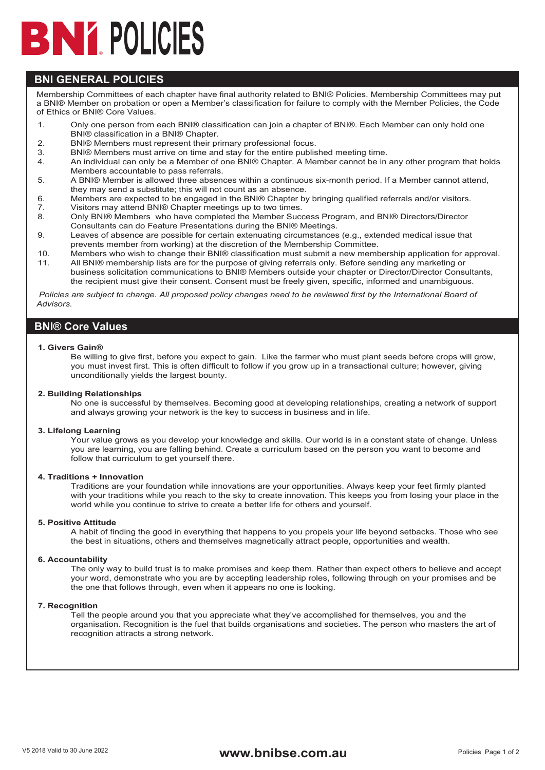# **POLICIES**

## **BNI GENERAL POLICIES**

Membership Committees of each chapter have final authority related to BNI® Policies. Membership Committees may put a BNI® Member on probation or open a Member's classification for failure to comply with the Member Policies, the Code of Ethics or BNI® Core Values.

- 1. Only one person from each BNI® classification can join a chapter of BNI®. Each Member can only hold one BNI® classification in a BNI® Chapter.
- 2. BNI® Members must represent their primary professional focus.
- 3. BNI® Members must arrive on time and stay for the entire published meeting time.
- 4. An individual can only be a Member of one BNI® Chapter. A Member cannot be in any other program that holds Members accountable to pass referrals.
- 5. A BNI® Member is allowed three absences within a continuous six-month period. If a Member cannot attend, they may send a substitute; this will not count as an absence.
- 6. Members are expected to be engaged in the BNI® Chapter by bringing qualified referrals and/or visitors.
- 7. Visitors may attend BNI® Chapter meetings up to two times.<br>8. Only BNI® Members, who have completed the Member Suc
- 8. Only BNI® Members who have completed the Member Success Program, and BNI® Directors/Director Consultants can do Feature Presentations during the BNI® Meetings.
- 9. Leaves of absence are possible for certain extenuating circumstances (e.g., extended medical issue that prevents member from working) at the discretion of the Membership Committee.
- 10. Members who wish to change their BNI® classification must submit a new membership application for approval. 11. All BNI® membership lists are for the purpose of giving referrals only. Before sending any marketing or
- business solicitation communications to BNI® Members outside your chapter or Director/Director Consultants, the recipient must give their consent. Consent must be freely given, specific, informed and unambiguous.

 *Policies are subject to change. All proposed policy changes need to be reviewed first by the International Board of Advisors.*

### **BNI® Core Values**

**1. Givers Gain®**

Be willing to give first, before you expect to gain. Like the farmer who must plant seeds before crops will grow, you must invest first. This is often difficult to follow if you grow up in a transactional culture; however, giving unconditionally yields the largest bounty.

#### **2. Building Relationships**

No one is successful by themselves. Becoming good at developing relationships, creating a network of support and always growing your network is the key to success in business and in life.

#### **3. Lifelong Learning**

Your value grows as you develop your knowledge and skills. Our world is in a constant state of change. Unless you are learning, you are falling behind. Create a curriculum based on the person you want to become and follow that curriculum to get yourself there.

#### **4. Traditions + Innovation**

Traditions are your foundation while innovations are your opportunities. Always keep your feet firmly planted with your traditions while you reach to the sky to create innovation. This keeps you from losing your place in the world while you continue to strive to create a better life for others and yourself.

#### **5. Positive Attitude**

A habit of finding the good in everything that happens to you propels your life beyond setbacks. Those who see the best in situations, others and themselves magnetically attract people, opportunities and wealth.

#### **6. Accountability**

The only way to build trust is to make promises and keep them. Rather than expect others to believe and accept your word, demonstrate who you are by accepting leadership roles, following through on your promises and be the one that follows through, even when it appears no one is looking.

#### **7. Recognition**

Tell the people around you that you appreciate what they've accomplished for themselves, you and the organisation. Recognition is the fuel that builds organisations and societies. The person who masters the art of recognition attracts a strong network.